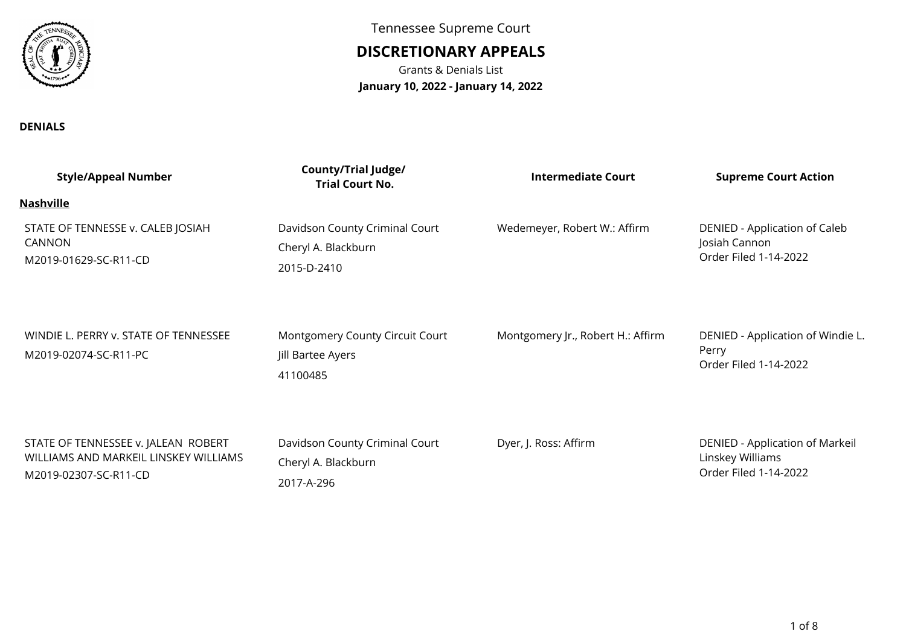

**DENIALS**

Tennessee Supreme Court

## **DISCRETIONARY APPEALS**

Grants & Denials List**January 10, 2022 - January 14, 2022**

| <b>Style/Appeal Number</b>                                                                            | <b>County/Trial Judge/</b><br><b>Trial Court No.</b>                 | Intermediate Court                | <b>Supreme Court Action</b>                                                  |
|-------------------------------------------------------------------------------------------------------|----------------------------------------------------------------------|-----------------------------------|------------------------------------------------------------------------------|
| <b>Nashville</b>                                                                                      |                                                                      |                                   |                                                                              |
| STATE OF TENNESSE v. CALEB JOSIAH<br>CANNON<br>M2019-01629-SC-R11-CD                                  | Davidson County Criminal Court<br>Cheryl A. Blackburn<br>2015-D-2410 | Wedemeyer, Robert W.: Affirm      | DENIED - Application of Caleb<br>Josiah Cannon<br>Order Filed 1-14-2022      |
| WINDIE L. PERRY v. STATE OF TENNESSEE<br>M2019-02074-SC-R11-PC                                        | Montgomery County Circuit Court<br>Jill Bartee Ayers<br>41100485     | Montgomery Jr., Robert H.: Affirm | DENIED - Application of Windie L.<br>Perry<br>Order Filed 1-14-2022          |
| STATE OF TENNESSEE v. JALEAN ROBERT<br>WILLIAMS AND MARKEIL LINSKEY WILLIAMS<br>M2019-02307-SC-R11-CD | Davidson County Criminal Court<br>Cheryl A. Blackburn<br>2017-A-296  | Dyer, J. Ross: Affirm             | DENIED - Application of Markeil<br>Linskey Williams<br>Order Filed 1-14-2022 |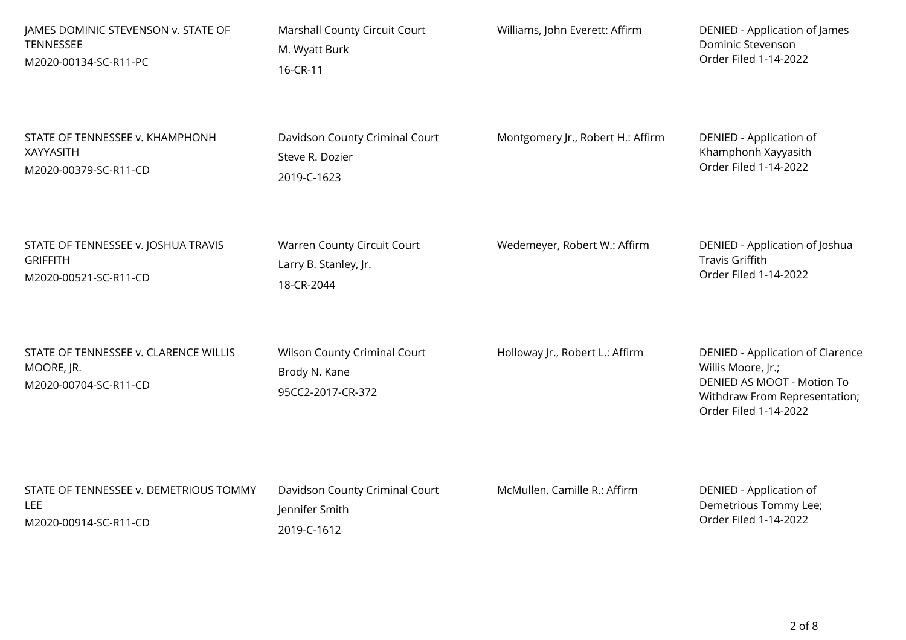| JAMES DOMINIC STEVENSON v. STATE OF                                          | Marshall County Circuit Court                                      | Williams, John Everett: Affirm    | DENIED - Application of James                                                                                                                  |
|------------------------------------------------------------------------------|--------------------------------------------------------------------|-----------------------------------|------------------------------------------------------------------------------------------------------------------------------------------------|
| TENNESSEE                                                                    | M. Wyatt Burk                                                      |                                   | Dominic Stevenson                                                                                                                              |
| M2020-00134-SC-R11-PC                                                        | 16-CR-11                                                           |                                   | Order Filed 1-14-2022                                                                                                                          |
| STATE OF TENNESSEE v. KHAMPHONH                                              | Davidson County Criminal Court                                     | Montgomery Jr., Robert H.: Affirm | DENIED - Application of                                                                                                                        |
| <b>XAYYASITH</b>                                                             | Steve R. Dozier                                                    |                                   | Khamphonh Xayyasith                                                                                                                            |
| M2020-00379-SC-R11-CD                                                        | 2019-C-1623                                                        |                                   | Order Filed 1-14-2022                                                                                                                          |
| STATE OF TENNESSEE v. JOSHUA TRAVIS                                          | Warren County Circuit Court                                        | Wedemeyer, Robert W.: Affirm      | DENIED - Application of Joshua                                                                                                                 |
| <b>GRIFFITH</b>                                                              | Larry B. Stanley, Jr.                                              |                                   | <b>Travis Griffith</b>                                                                                                                         |
| M2020-00521-SC-R11-CD                                                        | 18-CR-2044                                                         |                                   | Order Filed 1-14-2022                                                                                                                          |
| STATE OF TENNESSEE v. CLARENCE WILLIS<br>MOORE, JR.<br>M2020-00704-SC-R11-CD | Wilson County Criminal Court<br>Brody N. Kane<br>95CC2-2017-CR-372 | Holloway Jr., Robert L.: Affirm   | DENIED - Application of Clarence<br>Willis Moore, Jr.;<br>DENIED AS MOOT - Motion To<br>Withdraw From Representation;<br>Order Filed 1-14-2022 |
| STATE OF TENNESSEE v. DEMETRIOUS TOMMY                                       | Davidson County Criminal Court                                     | McMullen, Camille R.: Affirm      | DENIED - Application of                                                                                                                        |
| <b>LEE</b>                                                                   | Jennifer Smith                                                     |                                   | Demetrious Tommy Lee;                                                                                                                          |
| M2020-00914-SC-R11-CD                                                        | 2019-C-1612                                                        |                                   | Order Filed 1-14-2022                                                                                                                          |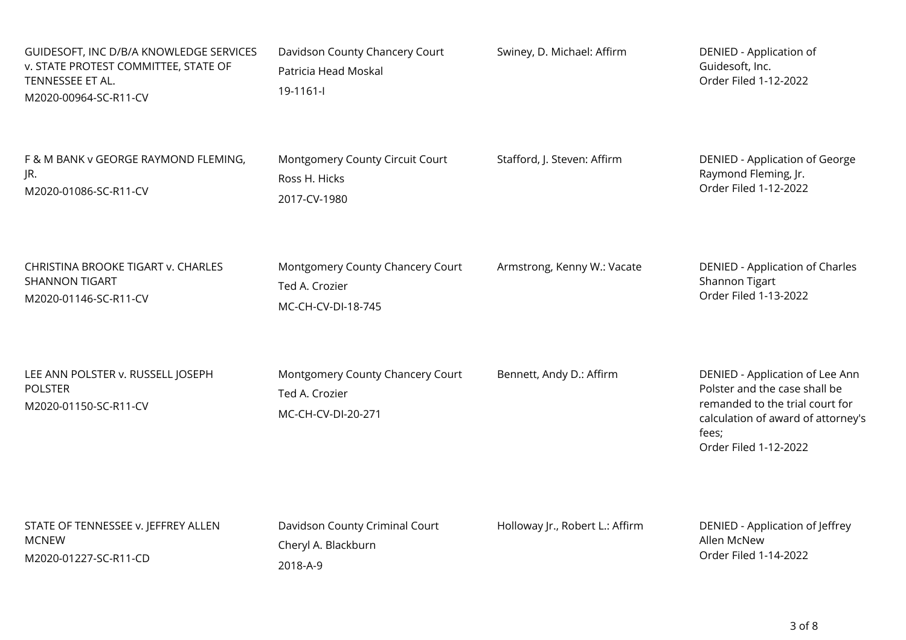| GUIDESOFT, INC D/B/A KNOWLEDGE SERVICES<br>v. STATE PROTEST COMMITTEE, STATE OF<br>TENNESSEE ET AL.<br>M2020-00964-SC-R11-CV | Davidson County Chancery Court<br>Patricia Head Moskal<br>19-1161-l      | Swiney, D. Michael: Affirm      | DENIED - Application of<br>Guidesoft, Inc.<br>Order Filed 1-12-2022                                                                                                         |
|------------------------------------------------------------------------------------------------------------------------------|--------------------------------------------------------------------------|---------------------------------|-----------------------------------------------------------------------------------------------------------------------------------------------------------------------------|
| F & M BANK v GEORGE RAYMOND FLEMING,                                                                                         | Montgomery County Circuit Court                                          | Stafford, J. Steven: Affirm     | <b>DENIED - Application of George</b>                                                                                                                                       |
| JR.                                                                                                                          | Ross H. Hicks                                                            |                                 | Raymond Fleming, Jr.                                                                                                                                                        |
| M2020-01086-SC-R11-CV                                                                                                        | 2017-CV-1980                                                             |                                 | Order Filed 1-12-2022                                                                                                                                                       |
| CHRISTINA BROOKE TIGART v. CHARLES                                                                                           | Montgomery County Chancery Court                                         | Armstrong, Kenny W.: Vacate     | DENIED - Application of Charles                                                                                                                                             |
| <b>SHANNON TIGART</b>                                                                                                        | Ted A. Crozier                                                           |                                 | Shannon Tigart                                                                                                                                                              |
| M2020-01146-SC-R11-CV                                                                                                        | MC-CH-CV-DI-18-745                                                       |                                 | Order Filed 1-13-2022                                                                                                                                                       |
| LEE ANN POLSTER v. RUSSELL JOSEPH<br><b>POLSTER</b><br>M2020-01150-SC-R11-CV                                                 | Montgomery County Chancery Court<br>Ted A. Crozier<br>MC-CH-CV-DI-20-271 | Bennett, Andy D.: Affirm        | DENIED - Application of Lee Ann<br>Polster and the case shall be<br>remanded to the trial court for<br>calculation of award of attorney's<br>fees;<br>Order Filed 1-12-2022 |
| STATE OF TENNESSEE v. JEFFREY ALLEN                                                                                          | Davidson County Criminal Court                                           | Holloway Jr., Robert L.: Affirm | DENIED - Application of Jeffrey                                                                                                                                             |
| <b>MCNEW</b>                                                                                                                 | Cheryl A. Blackburn                                                      |                                 | Allen McNew                                                                                                                                                                 |
| M2020-01227-SC-R11-CD                                                                                                        | 2018-A-9                                                                 |                                 | Order Filed 1-14-2022                                                                                                                                                       |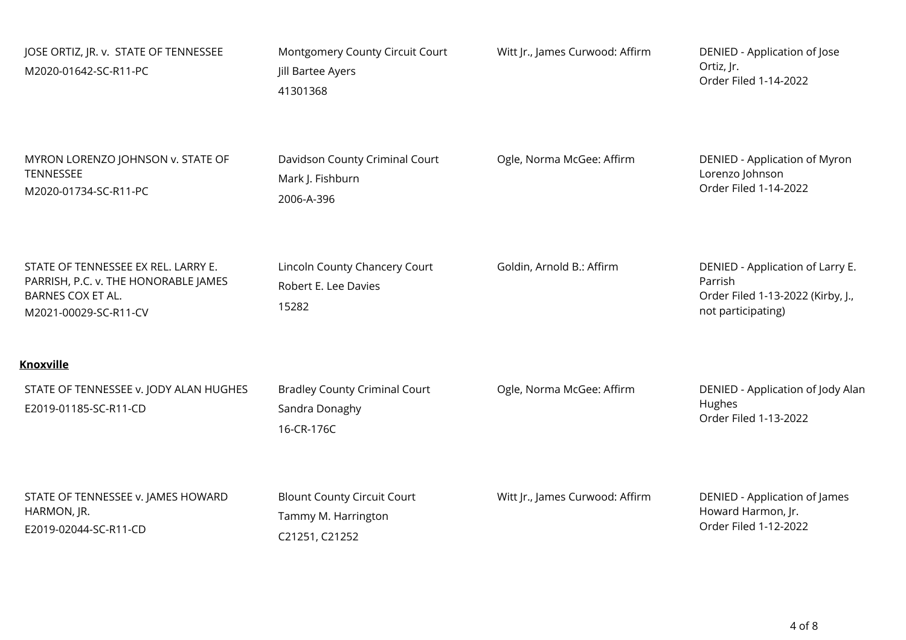| JOSE ORTIZ, JR. v. STATE OF TENNESSEE<br>M2020-01642-SC-R11-PC                                                            | Montgomery County Circuit Court<br>Jill Bartee Ayers<br>41301368            | Witt Jr., James Curwood: Affirm | DENIED - Application of Jose<br>Ortiz, Jr.<br>Order Filed 1-14-2022                                    |
|---------------------------------------------------------------------------------------------------------------------------|-----------------------------------------------------------------------------|---------------------------------|--------------------------------------------------------------------------------------------------------|
| MYRON LORENZO JOHNSON v. STATE OF<br><b>TENNESSEE</b><br>M2020-01734-SC-R11-PC                                            | Davidson County Criminal Court<br>Mark J. Fishburn<br>2006-A-396            | Ogle, Norma McGee: Affirm       | DENIED - Application of Myron<br>Lorenzo Johnson<br>Order Filed 1-14-2022                              |
| STATE OF TENNESSEE EX REL. LARRY E.<br>PARRISH, P.C. v. THE HONORABLE JAMES<br>BARNES COX ET AL.<br>M2021-00029-SC-R11-CV | Lincoln County Chancery Court<br>Robert E. Lee Davies<br>15282              | Goldin, Arnold B.: Affirm       | DENIED - Application of Larry E.<br>Parrish<br>Order Filed 1-13-2022 (Kirby, J.,<br>not participating) |
| <b>Knoxville</b>                                                                                                          |                                                                             |                                 |                                                                                                        |
| STATE OF TENNESSEE v. JODY ALAN HUGHES<br>E2019-01185-SC-R11-CD                                                           | <b>Bradley County Criminal Court</b><br>Sandra Donaghy<br>16-CR-176C        | Ogle, Norma McGee: Affirm       | DENIED - Application of Jody Alan<br>Hughes<br>Order Filed 1-13-2022                                   |
| STATE OF TENNESSEE v. JAMES HOWARD<br>HARMON, JR.<br>E2019-02044-SC-R11-CD                                                | <b>Blount County Circuit Court</b><br>Tammy M. Harrington<br>C21251, C21252 | Witt Jr., James Curwood: Affirm | DENIED - Application of James<br>Howard Harmon, Jr.<br>Order Filed 1-12-2022                           |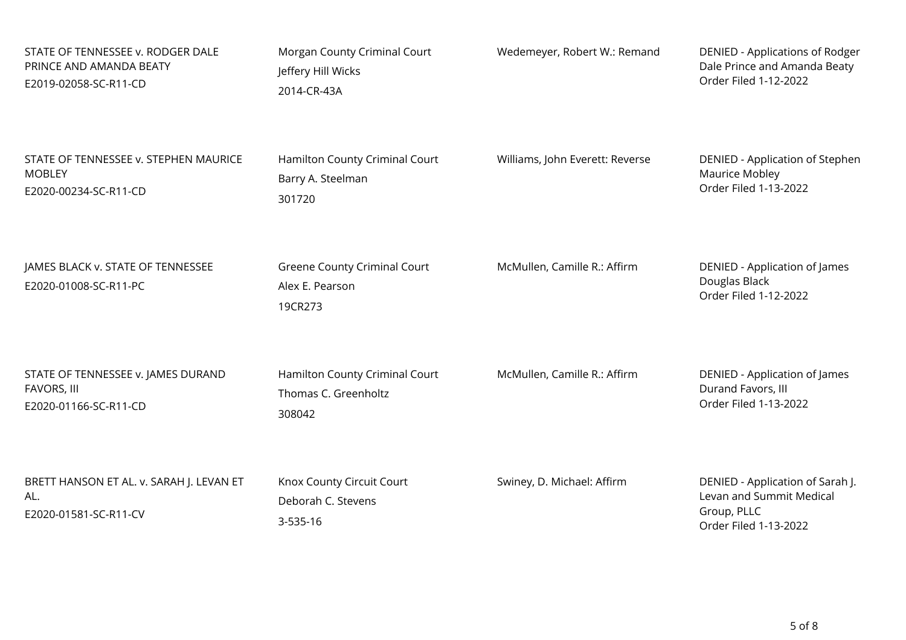| STATE OF TENNESSEE v. RODGER DALE                                        | Morgan County Criminal Court                                | Wedemeyer, Robert W.: Remand    | DENIED - Applications of Rodger                                                                      |
|--------------------------------------------------------------------------|-------------------------------------------------------------|---------------------------------|------------------------------------------------------------------------------------------------------|
| PRINCE AND AMANDA BEATY                                                  | Jeffery Hill Wicks                                          |                                 | Dale Prince and Amanda Beaty                                                                         |
| E2019-02058-SC-R11-CD                                                    | 2014-CR-43A                                                 |                                 | Order Filed 1-12-2022                                                                                |
| STATE OF TENNESSEE v. STEPHEN MAURICE                                    | Hamilton County Criminal Court                              | Williams, John Everett: Reverse | DENIED - Application of Stephen                                                                      |
| <b>MOBLEY</b>                                                            | Barry A. Steelman                                           |                                 | Maurice Mobley                                                                                       |
| E2020-00234-SC-R11-CD                                                    | 301720                                                      |                                 | Order Filed 1-13-2022                                                                                |
| JAMES BLACK v. STATE OF TENNESSEE<br>E2020-01008-SC-R11-PC               | Greene County Criminal Court<br>Alex E. Pearson<br>19CR273  | McMullen, Camille R.: Affirm    | DENIED - Application of James<br>Douglas Black<br>Order Filed 1-12-2022                              |
| STATE OF TENNESSEE v. JAMES DURAND                                       | Hamilton County Criminal Court                              | McMullen, Camille R.: Affirm    | DENIED - Application of James                                                                        |
| FAVORS, III                                                              | Thomas C. Greenholtz                                        |                                 | Durand Favors, III                                                                                   |
| E2020-01166-SC-R11-CD                                                    | 308042                                                      |                                 | Order Filed 1-13-2022                                                                                |
| BRETT HANSON ET AL. v. SARAH J. LEVAN ET<br>AL.<br>E2020-01581-SC-R11-CV | Knox County Circuit Court<br>Deborah C. Stevens<br>3-535-16 | Swiney, D. Michael: Affirm      | DENIED - Application of Sarah J.<br>Levan and Summit Medical<br>Group, PLLC<br>Order Filed 1-13-2022 |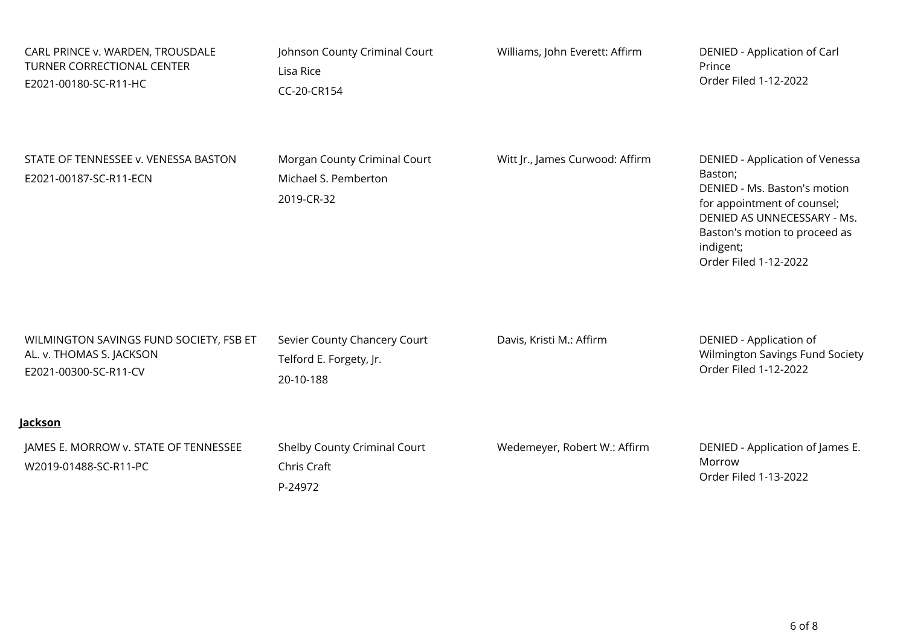| CARL PRINCE v. WARDEN, TROUSDALE<br>TURNER CORRECTIONAL CENTER<br>E2021-00180-SC-R11-HC      | Johnson County Criminal Court<br>Lisa Rice<br>CC-20-CR154            | Williams, John Everett: Affirm  | DENIED - Application of Carl<br>Prince<br>Order Filed 1-12-2022                                                                                                                                                 |
|----------------------------------------------------------------------------------------------|----------------------------------------------------------------------|---------------------------------|-----------------------------------------------------------------------------------------------------------------------------------------------------------------------------------------------------------------|
| STATE OF TENNESSEE v. VENESSA BASTON<br>E2021-00187-SC-R11-ECN                               | Morgan County Criminal Court<br>Michael S. Pemberton<br>2019-CR-32   | Witt Jr., James Curwood: Affirm | DENIED - Application of Venessa<br>Baston;<br>DENIED - Ms. Baston's motion<br>for appointment of counsel;<br>DENIED AS UNNECESSARY - Ms.<br>Baston's motion to proceed as<br>indigent;<br>Order Filed 1-12-2022 |
| WILMINGTON SAVINGS FUND SOCIETY, FSB ET<br>AL. v. THOMAS S. JACKSON<br>E2021-00300-SC-R11-CV | Sevier County Chancery Court<br>Telford E. Forgety, Jr.<br>20-10-188 | Davis, Kristi M.: Affirm        | DENIED - Application of<br>Wilmington Savings Fund Society<br>Order Filed 1-12-2022                                                                                                                             |
| <b>Jackson</b>                                                                               |                                                                      |                                 |                                                                                                                                                                                                                 |
| JAMES E. MORROW v. STATE OF TENNESSEE<br>W2019-01488-SC-R11-PC                               | Shelby County Criminal Court<br>Chris Craft<br>P-24972               | Wedemeyer, Robert W.: Affirm    | DENIED - Application of James E.<br>Morrow<br>Order Filed 1-13-2022                                                                                                                                             |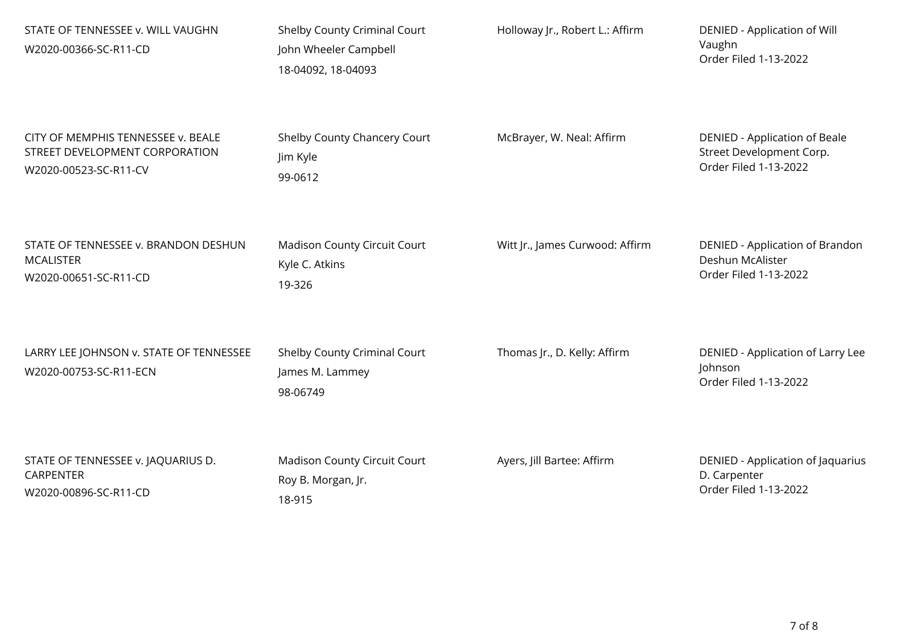| STATE OF TENNESSEE v. WILL VAUGHN<br>W2020-00366-SC-R11-CD        | Shelby County Criminal Court<br>John Wheeler Campbell<br>18-04092, 18-04093 | Holloway Jr., Robert L.: Affirm | DENIED - Application of Will<br>Vaughn<br>Order Filed 1-13-2022       |
|-------------------------------------------------------------------|-----------------------------------------------------------------------------|---------------------------------|-----------------------------------------------------------------------|
| CITY OF MEMPHIS TENNESSEE v. BEALE                                | Shelby County Chancery Court                                                | McBrayer, W. Neal: Affirm       | <b>DENIED - Application of Beale</b>                                  |
| STREET DEVELOPMENT CORPORATION                                    | Jim Kyle                                                                    |                                 | Street Development Corp.                                              |
| W2020-00523-SC-R11-CV                                             | 99-0612                                                                     |                                 | Order Filed 1-13-2022                                                 |
| STATE OF TENNESSEE v. BRANDON DESHUN                              | Madison County Circuit Court                                                | Witt Jr., James Curwood: Affirm | DENIED - Application of Brandon                                       |
| <b>MCALISTER</b>                                                  | Kyle C. Atkins                                                              |                                 | Deshun McAlister                                                      |
| W2020-00651-SC-R11-CD                                             | 19-326                                                                      |                                 | Order Filed 1-13-2022                                                 |
| LARRY LEE JOHNSON v. STATE OF TENNESSEE<br>W2020-00753-SC-R11-ECN | Shelby County Criminal Court<br>James M. Lammey<br>98-06749                 | Thomas Jr., D. Kelly: Affirm    | DENIED - Application of Larry Lee<br>Johnson<br>Order Filed 1-13-2022 |
| STATE OF TENNESSEE v. JAQUARIUS D.                                | Madison County Circuit Court                                                | Ayers, Jill Bartee: Affirm      | DENIED - Application of Jaquarius                                     |
| <b>CARPENTER</b>                                                  | Roy B. Morgan, Jr.                                                          |                                 | D. Carpenter                                                          |
| W2020-00896-SC-R11-CD                                             | 18-915                                                                      |                                 | Order Filed 1-13-2022                                                 |